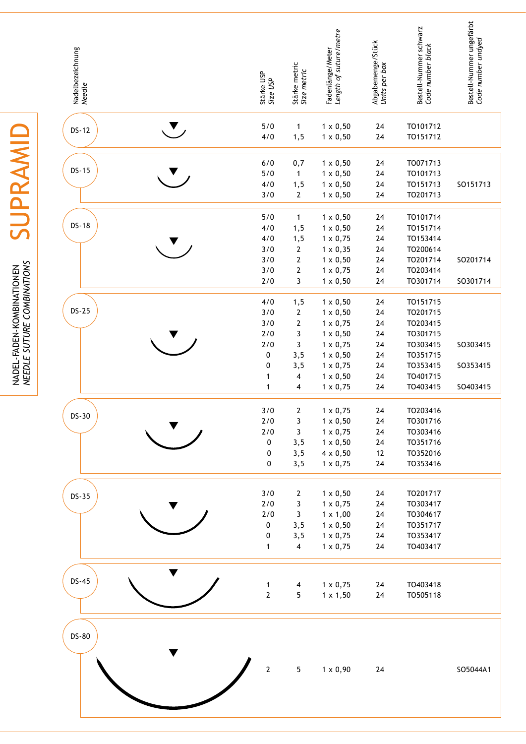| Nadelbezeichnung<br><i>Needle</i> |     | Stärke USP<br>Size USP                                  | Stärke metric<br>Size metric                                                              | Fadenlänge/Meter<br><i>Length of suture/metre</i>                                                                                 | Abgabemenge/Stück<br>Units per box           | Bestell-Nummer schwarz<br>Code number black                                      | Bestell-Nummer ungefärbt<br>Code number undyed |
|-----------------------------------|-----|---------------------------------------------------------|-------------------------------------------------------------------------------------------|-----------------------------------------------------------------------------------------------------------------------------------|----------------------------------------------|----------------------------------------------------------------------------------|------------------------------------------------|
| <b>DS-12</b>                      | ▼ , | 5/0<br>4/0                                              | $\mathbf{1}$<br>1, 5                                                                      | $1 \times 0,50$<br>$1 \times 0,50$                                                                                                | 24<br>24                                     | TO101712<br>TO151712                                                             |                                                |
| $DS-15$                           |     | 6/0<br>5/0<br>4/0<br>3/0                                | 0,7<br>$\mathbf{1}$<br>1, 5<br>$\boldsymbol{2}$                                           | $1 \times 0,50$<br>$1 \times 0,50$<br>$1 \times 0,50$<br>$1 \times 0,50$                                                          | 24<br>24<br>24<br>24                         | TO071713<br>TO101713<br>TO151713<br>TO201713                                     | SO151713                                       |
| $DS-18$                           |     | 5/0<br>4/0<br>4/0<br>3/0<br>3/0<br>3/0<br>2/0           | $\mathbf{1}$<br>1, 5<br>1, 5<br>$\boldsymbol{2}$<br>$\mathbf{2}$<br>$\boldsymbol{2}$<br>3 | $1 \times 0,50$<br>$1 \times 0,50$<br>$1 \times 0,75$<br>$1 \times 0,35$<br>$1 \times 0,50$<br>$1 \times 0,75$<br>$1 \times 0,50$ | 24<br>24<br>24<br>24<br>24<br>24<br>24       | TO101714<br>TO151714<br>TO153414<br>TO200614<br>TO201714<br>TO203414<br>TO301714 | SO201714<br>SO301714                           |
| $DS-25$                           |     | 4/0<br>3/0<br>3/0<br>2/0<br>2/0<br>0                    | 1, 5<br>$\boldsymbol{2}$<br>$\mathbf{2}$<br>3<br>3<br>3, 5                                | $1 \times 0,50$<br>$1 \times 0,50$<br>$1 \times 0,75$<br>$1 \times 0,50$<br>$1 \times 0,75$<br>$1 \times 0,50$                    | 24<br>24<br>24<br>24<br>24<br>24             | TO151715<br>TO201715<br>TO203415<br>TO301715<br>TO303415<br>TO351715             | SO303415                                       |
|                                   |     | $\pmb{0}$<br>1<br>1                                     | 3,5<br>4<br>4                                                                             | $1 \times 0,75$<br>$1 \times 0,50$<br>$1 \times 0,75$                                                                             | 24<br>24<br>24                               | TO353415<br>TO401715<br>TO403415                                                 | SO353415<br>SO403415                           |
| DS-30                             |     | 3/0<br>$2/0$<br>2/0<br>$\pmb{0}$<br>0<br>$\pmb{0}$      | $\mathbf{2}$<br>3<br>3<br>3,5<br>3,5<br>3, 5                                              | $1 \times 0,75$<br>$1 \times 0,50$<br>$1 \times 0,75$<br>$1 \times 0,50$<br>$4 \times 0,50$<br>$1 \times 0,75$                    | 24<br>$24\,$<br>24<br>$24\,$<br>12<br>$24\,$ | TO203416<br>TO301716<br>TO303416<br>TO351716<br>TO352016<br>TO353416             |                                                |
| $DS-35$                           |     | 3/0<br>$2/0$<br>$2/0$<br>0<br>$\pmb{0}$<br>$\mathbf{1}$ | 2<br>3<br>3<br>3,5<br>3, 5<br>$\overline{\mathbf{4}}$                                     | $1 \times 0,50$<br>$1 \times 0,75$<br>$1 \times 1,00$<br>$1 \times 0,50$<br>$1 \times 0,75$<br>$1 \times 0,75$                    | 24<br>24<br>24<br>24<br>24<br>24             | TO201717<br>TO303417<br>TO304617<br>T0351717<br>TO353417<br>TO403417             |                                                |
| $DS-45$                           |     | $\mathbf{1}$<br>$\mathbf 2$                             | $\overline{\mathbf{4}}$<br>5                                                              | $1 \times 0,75$<br>$1 \times 1,50$                                                                                                | 24<br>24                                     | TO403418<br>TO505118                                                             |                                                |
| <b>DS-80</b>                      |     | $\mathbf{2}$                                            | $\overline{5}$                                                                            | $1 \times 0,90$                                                                                                                   | $24\,$                                       |                                                                                  | SO5044A1                                       |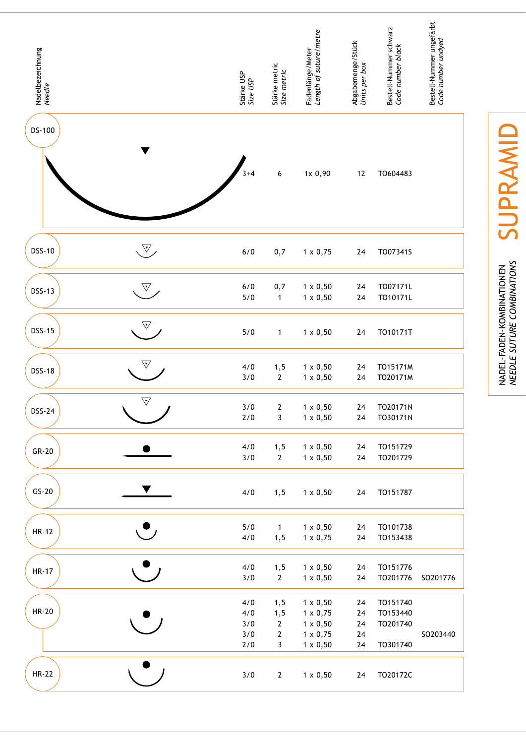| Nadelbezeichnung<br>Needle |                       | Stärke USP<br>Size USP          | Stärke metric<br>Size metric                                 | Fadenlänge/Meter<br><i>Length of suture/metre</i>                                           | Abgabemenge/Stück<br>Units per box | Bestell-Nummer schwarz<br>Code number black  | Bestell-Nummer ungefärbt<br>Code number undyed |
|----------------------------|-----------------------|---------------------------------|--------------------------------------------------------------|---------------------------------------------------------------------------------------------|------------------------------------|----------------------------------------------|------------------------------------------------|
| DS-100                     |                       | $3 + 4$                         | 6                                                            | 1x 0,90                                                                                     | $12$                               | TO604483                                     |                                                |
| <b>DSS-10</b>              | $\mathbb{V}_{\times}$ | $6/0$                           | 0,7                                                          | $1 \times 0,75$                                                                             | 24                                 | TO07341S                                     |                                                |
| <b>DSS-13</b>              | $\sqrt{\nabla}$       | $6/0$<br>5/0                    | 0,7<br>$\mathbf{1}$                                          | $1 \times 0,50$<br>$1 \times 0,50$                                                          | 24<br>24                           | T007171L<br>TO10171L                         |                                                |
| <b>DSS-15</b>              | $\triangledown$       | 5/0                             | 1                                                            | $1 \times 0,50$                                                                             | 24                                 | TO10171T                                     |                                                |
| <b>DSS-18</b>              | $\overline{\nabla}$   | 4/0<br>3/0                      | 1, 5<br>$\mathbf{2}$                                         | $1 \times 0,50$<br>$1 \times 0,50$                                                          | 24<br>24                           | TO15171M<br>TO20171M                         |                                                |
| <b>DSS-24</b>              | $\overline{\nabla}$   | 3/0<br>$2/0$                    | $\mathbf{2}$<br>$\mathbf{3}$                                 | $1 \times 0,50$<br>$1 \times 0,50$                                                          | 24<br>${\bf 24}$                   | TO20171N<br>TO30171N                         |                                                |
| $GR-20$                    |                       | 4/0<br>3/0                      | 1, 5<br>$\mathbf{2}$                                         | $1 \times 0,50$<br>$1 \times 0,50$                                                          | 24<br>24                           | TO151729<br>TO201729                         |                                                |
| $GS-20$                    |                       | $4/0$                           | 1, 5                                                         | $1 \times 0,50$                                                                             | 24                                 | TO151787                                     |                                                |
| <b>HR-12</b>               |                       | 5/0<br>4/0                      | $\mathbf{1}$<br>1, 5                                         | $1 \times 0,50$<br>$1 \times 0,75$                                                          | 24<br>24                           | TO101738<br>TO153438                         |                                                |
| <b>HR-17</b>               |                       | 4/0<br>3/0                      | 1, 5<br>$2^{\circ}$                                          | $1 \times 0,50$<br>$1 \times 0,50$                                                          | 24<br>$24\,$                       | TO151776<br>TO201776                         | SO201776                                       |
| HR-20                      |                       | 4/0<br>4/0<br>3/0<br>3/0<br>2/0 | 1, 5<br>1, 5<br>$\mathbf{2}$<br>$\mathbf{2}$<br>$\mathbf{3}$ | $1 \times 0,50$<br>$1 \times 0,75$<br>$1 \times 0,50$<br>$1 \times 0,75$<br>$1 \times 0,50$ | 24<br>24<br>24<br>24<br>24         | TO151740<br>TO153440<br>TO201740<br>TO301740 | SO203440                                       |
| <b>HR-22</b>               |                       | 3/0                             | $\mathbf{2}$                                                 | $1 \times 0,50$                                                                             | 24                                 | TO20172C                                     |                                                |

SUPRAMID supRAmid

NADEL-FADEN-KOMBINATIONEN<br>*NEEDLE SUTURE COMBINATIONS suture combinations* nadel-faden-kombinationen *needle*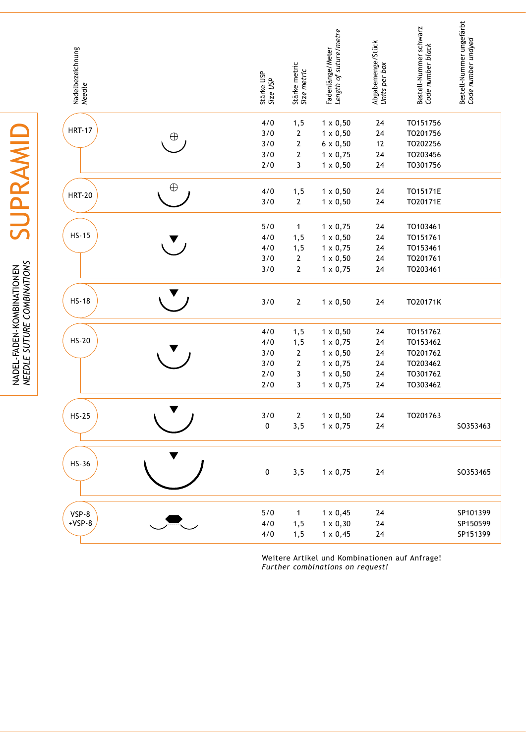| Nadelbezeichnung<br><i>Needle</i> |              | Stärke USP<br>Size USP | Stärke metric<br>Size metric | Length of suture/metre<br>Fadenlänge/Meter | Abgabemenge/Stück<br>Units per box | Bestell-Nummer schwarz<br>Code number black | Bestell-Nummer ungefärbt<br>Code number undyed |
|-----------------------------------|--------------|------------------------|------------------------------|--------------------------------------------|------------------------------------|---------------------------------------------|------------------------------------------------|
|                                   |              | 4/0                    | 1, 5                         | $1 \times 0,50$                            | 24                                 | TO151756                                    |                                                |
| <b>HRT-17</b>                     | $\oplus$     | 3/0                    | $\mathbf{2}$                 | $1 \times 0,50$                            | 24                                 | TO201756                                    |                                                |
|                                   |              | 3/0                    | $\mathbf{2}$                 | $6 \times 0,50$                            | 12                                 | TO202256                                    |                                                |
|                                   |              | 3/0                    | $\mathbf 2$                  | $1 \times 0,75$                            | 24                                 | TO203456                                    |                                                |
|                                   |              | 2/0                    | 3                            | $1 \times 0,50$                            | 24                                 | TO301756                                    |                                                |
|                                   | $\oplus$     | 4/0                    | 1, 5                         | $1 \times 0,50$                            | 24                                 | TO15171E                                    |                                                |
| <b>HRT-20</b>                     |              | 3/0                    | $\mathbf 2$                  | $1 \times 0,50$                            | 24                                 | TO20171E                                    |                                                |
|                                   |              | 5/0                    | $\mathbf{1}$                 | $1 \times 0,75$                            | 24                                 | TO103461                                    |                                                |
| $HS-15$                           |              | 4/0                    | 1, 5                         | $1 \times 0,50$                            | 24                                 | TO151761                                    |                                                |
|                                   |              | 4/0                    | 1, 5                         | $1 \times 0,75$                            | 24                                 | TO153461                                    |                                                |
|                                   |              | 3/0                    | $\mathbf{2}$                 | $1 \times 0,50$                            | 24                                 | TO201761                                    |                                                |
|                                   |              | 3/0                    | $\mathbf{2}$                 | $1 \times 0,75$                            | 24                                 | TO203461                                    |                                                |
| $HS-18$                           |              | 3/0                    | $\mathbf{2}$                 | $1 \times 0,50$                            | 24                                 | TO20171K                                    |                                                |
|                                   |              | 4/0                    | 1, 5                         | $1 \times 0,50$                            | 24                                 | TO151762                                    |                                                |
| $HS-20$                           |              | 4/0                    | 1, 5                         | $1 \times 0,75$                            | 24                                 | TO153462                                    |                                                |
|                                   |              | 3/0                    | $\mathbf{2}$                 | $1 \times 0,50$                            | 24                                 | TO201762                                    |                                                |
|                                   |              | 3/0                    | $\mathbf 2$                  | $1 \times 0,75$                            | 24                                 | TO203462                                    |                                                |
|                                   |              | 2/0                    | 3                            | $1 \times 0,50$                            | 24                                 | TO301762                                    |                                                |
|                                   |              | 2/0                    | 3                            | $1 \times 0,75$                            | 24                                 | TO303462                                    |                                                |
|                                   | $\mathbf{r}$ |                        |                              |                                            |                                    |                                             |                                                |
| $HS-25$                           |              | 3/0<br>0               | $\mathbf{2}$<br>3, 5         | $1 \times 0,50$<br>$1 \times 0,75$         | 24<br>24                           | TO201763                                    | SO353463                                       |
|                                   |              |                        |                              |                                            |                                    |                                             |                                                |
| $HS-36$                           |              | $\pmb{0}$              | 3, 5                         | $1 \times 0,75$                            | 24                                 |                                             | SO353465                                       |
|                                   |              |                        |                              |                                            |                                    |                                             |                                                |
| VSP-8<br>$+VSP-8$                 |              | $5/0$                  | $\mathbf{1}$                 | $1 \times 0,45$                            | 24                                 |                                             | SP101399                                       |
|                                   |              | 4/0                    | 1, 5                         | $1 \times 0,30$<br>$1 \times 0,45$         | $24\,$<br>$24\,$                   |                                             | SP150599<br>SP151399                           |
|                                   |              | 4/0                    | 1, 5                         |                                            |                                    |                                             |                                                |

Weitere Artikel und Kombinationen auf Anfrage! *Further combinations on request!*